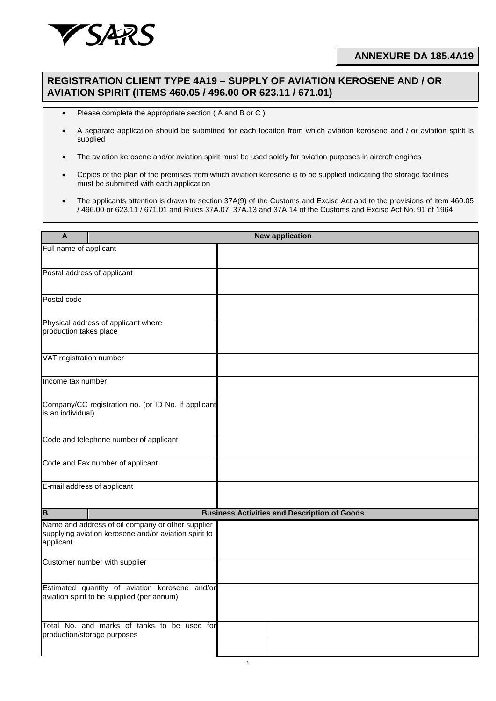

## **ANNEXURE DA 185.4A19**

## **REGISTRATION CLIENT TYPE 4A19 – SUPPLY OF AVIATION KEROSENE AND / OR AVIATION SPIRIT (ITEMS 460.05 / 496.00 OR 623.11 / 671.01)**

- Please complete the appropriate section ( A and B or C )
- A separate application should be submitted for each location from which aviation kerosene and / or aviation spirit is supplied
- The aviation kerosene and/or aviation spirit must be used solely for aviation purposes in aircraft engines
- Copies of the plan of the premises from which aviation kerosene is to be supplied indicating the storage facilities must be submitted with each application
- The applicants attention is drawn to section 37A(9) of the Customs and Excise Act and to the provisions of item 460.05 / 496.00 or 623.11 / 671.01 and Rules 37A.07, 37A.13 and 37A.14 of the Customs and Excise Act No. 91 of 1964

| A                                                                                                                       |  | <b>New application</b>                              |
|-------------------------------------------------------------------------------------------------------------------------|--|-----------------------------------------------------|
| Full name of applicant                                                                                                  |  |                                                     |
|                                                                                                                         |  |                                                     |
| Postal address of applicant                                                                                             |  |                                                     |
| Postal code                                                                                                             |  |                                                     |
| Physical address of applicant where<br>production takes place                                                           |  |                                                     |
| VAT registration number                                                                                                 |  |                                                     |
| Income tax number                                                                                                       |  |                                                     |
| Company/CC registration no. (or ID No. if applicant<br>is an individual)                                                |  |                                                     |
| Code and telephone number of applicant                                                                                  |  |                                                     |
| Code and Fax number of applicant                                                                                        |  |                                                     |
| E-mail address of applicant                                                                                             |  |                                                     |
| $\overline{\mathsf{B}}$                                                                                                 |  | <b>Business Activities and Description of Goods</b> |
| Name and address of oil company or other supplier<br>supplying aviation kerosene and/or aviation spirit to<br>applicant |  |                                                     |
| Customer number with supplier                                                                                           |  |                                                     |
| Estimated quantity of aviation kerosene and/or<br>aviation spirit to be supplied (per annum)                            |  |                                                     |
| Total No. and marks of tanks to be used for<br>production/storage purposes                                              |  |                                                     |